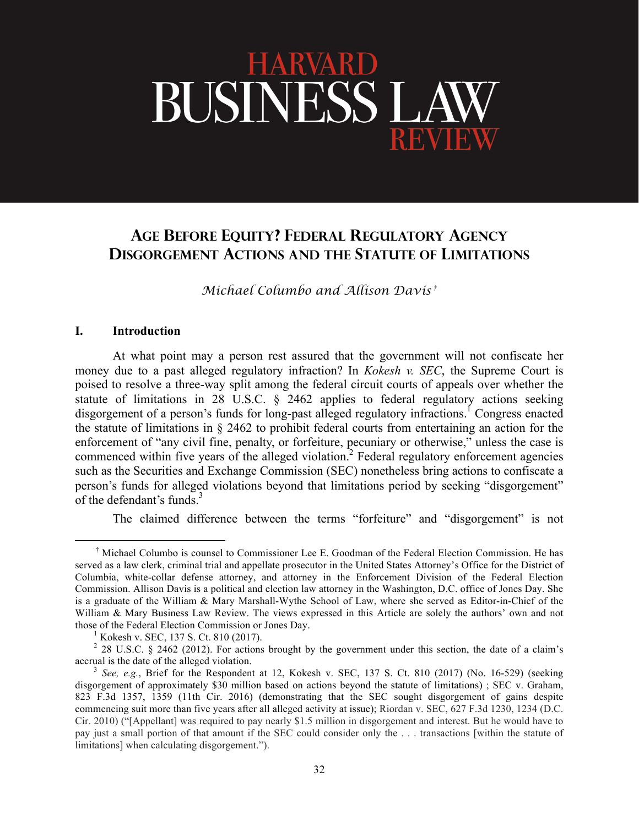# HARVARD BUSINESS LA

# **AGE BEFORE EQUITY? FEDERAL REGULATORY AGENCY DISGORGEMENT ACTIONS AND THE STATUTE OF LIMITATIONS**

*Michael Columbo and Allison Davis †*

#### **I. Introduction**

At what point may a person rest assured that the government will not confiscate her money due to a past alleged regulatory infraction? In *Kokesh v. SEC*, the Supreme Court is poised to resolve a three-way split among the federal circuit courts of appeals over whether the statute of limitations in 28 U.S.C. § 2462 applies to federal regulatory actions seeking disgorgement of a person's funds for long-past alleged regulatory infractions.<sup>1</sup> Congress enacted the statute of limitations in § 2462 to prohibit federal courts from entertaining an action for the enforcement of "any civil fine, penalty, or forfeiture, pecuniary or otherwise," unless the case is commenced within five years of the alleged violation.<sup>2</sup> Federal regulatory enforcement agencies such as the Securities and Exchange Commission (SEC) nonetheless bring actions to confiscate a person's funds for alleged violations beyond that limitations period by seeking "disgorgement" of the defendant's funds.<sup>3</sup>

The claimed difference between the terms "forfeiture" and "disgorgement" is not

 <sup>†</sup> Michael Columbo is counsel to Commissioner Lee E. Goodman of the Federal Election Commission. He has served as a law clerk, criminal trial and appellate prosecutor in the United States Attorney's Office for the District of Columbia, white-collar defense attorney, and attorney in the Enforcement Division of the Federal Election Commission. Allison Davis is a political and election law attorney in the Washington, D.C. office of Jones Day. She is a graduate of the William & Mary Marshall-Wythe School of Law, where she served as Editor-in-Chief of the William & Mary Business Law Review. The views expressed in this Article are solely the authors' own and not those of the Federal Election Commission or Jones Day.<br><sup>1</sup> Kokesh v. SEC, 137 S. Ct. 810 (2017).

<sup>&</sup>lt;sup>2</sup> 28 U.S.C. § 2462 (2012). For actions brought by the government under this section, the date of a claim's accrual is the date of the alleged violation.<br><sup>3</sup> *See, e.g.*, Brief for the Respondent at 12, Kokesh v. SEC, 137 S. Ct. 810 (2017) (No. 16-529) (seeking

disgorgement of approximately \$30 million based on actions beyond the statute of limitations) ; SEC v. Graham, 823 F.3d 1357, 1359 (11th Cir. 2016) (demonstrating that the SEC sought disgorgement of gains despite commencing suit more than five years after all alleged activity at issue); Riordan v. SEC, 627 F.3d 1230, 1234 (D.C. Cir. 2010) ("[Appellant] was required to pay nearly \$1.5 million in disgorgement and interest. But he would have to pay just a small portion of that amount if the SEC could consider only the . . . transactions [within the statute of limitations] when calculating disgorgement.").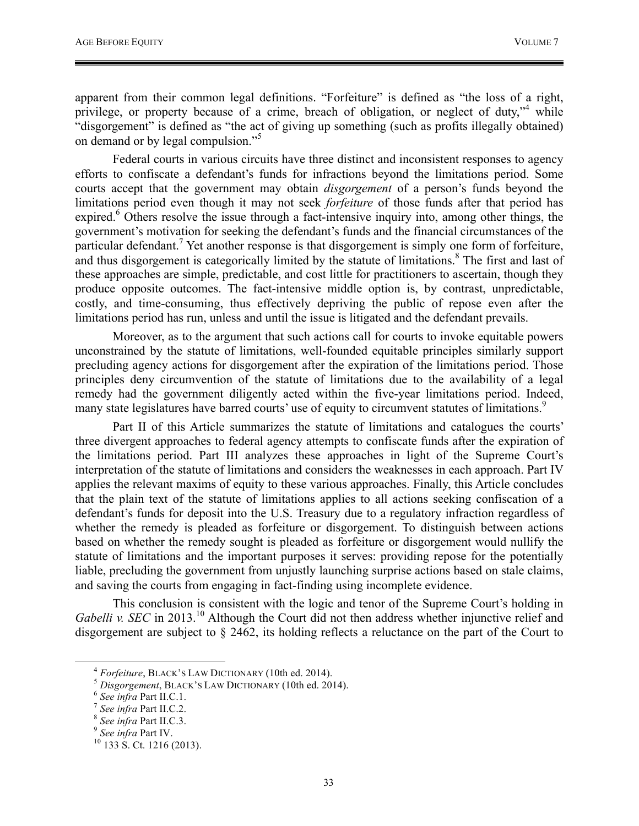apparent from their common legal definitions. "Forfeiture" is defined as "the loss of a right, privilege, or property because of a crime, breach of obligation, or neglect of duty,<sup> $n<sup>4</sup>$ </sup> while "disgorgement" is defined as "the act of giving up something (such as profits illegally obtained) on demand or by legal compulsion."<sup>5</sup>

Federal courts in various circuits have three distinct and inconsistent responses to agency efforts to confiscate a defendant's funds for infractions beyond the limitations period. Some courts accept that the government may obtain *disgorgement* of a person's funds beyond the limitations period even though it may not seek *forfeiture* of those funds after that period has expired.<sup>6</sup> Others resolve the issue through a fact-intensive inquiry into, among other things, the government's motivation for seeking the defendant's funds and the financial circumstances of the particular defendant.<sup>7</sup> Yet another response is that disgorgement is simply one form of forfeiture, and thus disgorgement is categorically limited by the statute of limitations.<sup>8</sup> The first and last of these approaches are simple, predictable, and cost little for practitioners to ascertain, though they produce opposite outcomes. The fact-intensive middle option is, by contrast, unpredictable, costly, and time-consuming, thus effectively depriving the public of repose even after the limitations period has run, unless and until the issue is litigated and the defendant prevails.

Moreover, as to the argument that such actions call for courts to invoke equitable powers unconstrained by the statute of limitations, well-founded equitable principles similarly support precluding agency actions for disgorgement after the expiration of the limitations period. Those principles deny circumvention of the statute of limitations due to the availability of a legal remedy had the government diligently acted within the five-year limitations period. Indeed, many state legislatures have barred courts' use of equity to circumvent statutes of limitations.<sup>9</sup>

Part II of this Article summarizes the statute of limitations and catalogues the courts' three divergent approaches to federal agency attempts to confiscate funds after the expiration of the limitations period. Part III analyzes these approaches in light of the Supreme Court's interpretation of the statute of limitations and considers the weaknesses in each approach. Part IV applies the relevant maxims of equity to these various approaches. Finally, this Article concludes that the plain text of the statute of limitations applies to all actions seeking confiscation of a defendant's funds for deposit into the U.S. Treasury due to a regulatory infraction regardless of whether the remedy is pleaded as forfeiture or disgorgement. To distinguish between actions based on whether the remedy sought is pleaded as forfeiture or disgorgement would nullify the statute of limitations and the important purposes it serves: providing repose for the potentially liable, precluding the government from unjustly launching surprise actions based on stale claims, and saving the courts from engaging in fact-finding using incomplete evidence.

This conclusion is consistent with the logic and tenor of the Supreme Court's holding in *Gabelli v. SEC* in 2013.<sup>10</sup> Although the Court did not then address whether injunctive relief and disgorgement are subject to § 2462, its holding reflects a reluctance on the part of the Court to

<sup>&</sup>lt;sup>4</sup> Forfeiture, BLACK'S LAW DICTIONARY (10th ed. 2014).<br>
<sup>5</sup> Disgorgement, BLACK'S LAW DICTIONARY (10th ed. 2014).<br>
<sup>6</sup> See infra Part II.C.1.<br>
<sup>7</sup> See infra Part II.C.2.<br>
<sup>8</sup> See infra Part II.C.3.<br>
<sup>9</sup> See infra Part IV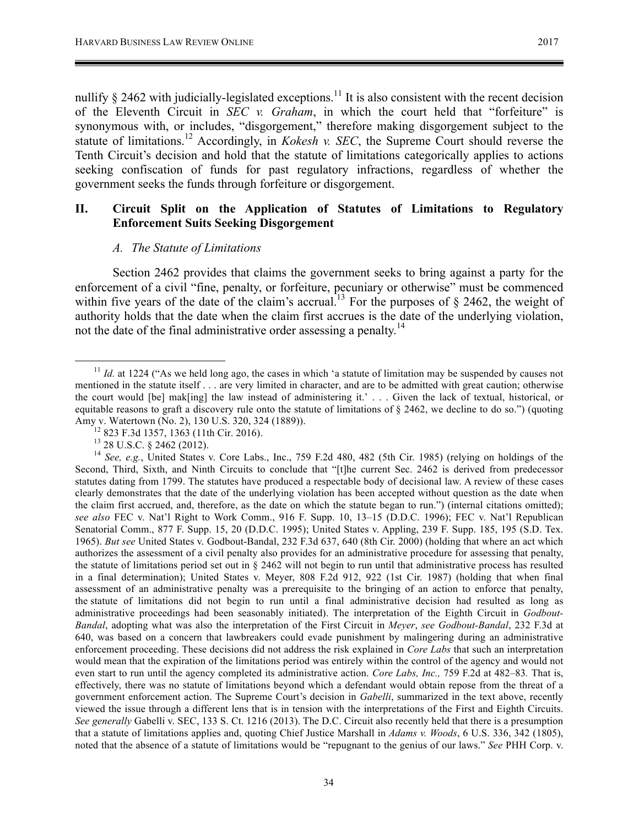nullify  $\S$  2462 with judicially-legislated exceptions.<sup>11</sup> It is also consistent with the recent decision of the Eleventh Circuit in *SEC v. Graham*, in which the court held that "forfeiture" is synonymous with, or includes, "disgorgement," therefore making disgorgement subject to the statute of limitations.12 Accordingly, in *Kokesh v. SEC*, the Supreme Court should reverse the Tenth Circuit's decision and hold that the statute of limitations categorically applies to actions seeking confiscation of funds for past regulatory infractions, regardless of whether the government seeks the funds through forfeiture or disgorgement.

# **II. Circuit Split on the Application of Statutes of Limitations to Regulatory Enforcement Suits Seeking Disgorgement**

#### *A. The Statute of Limitations*

Section 2462 provides that claims the government seeks to bring against a party for the enforcement of a civil "fine, penalty, or forfeiture, pecuniary or otherwise" must be commenced within five years of the date of the claim's accrual.<sup>13</sup> For the purposes of § 2462, the weight of authority holds that the date when the claim first accrues is the date of the underlying violation, not the date of the final administrative order assessing a penalty.<sup>14</sup>

<sup>&</sup>lt;sup>11</sup> *Id.* at 1224 ("As we held long ago, the cases in which 'a statute of limitation may be suspended by causes not mentioned in the statute itself . . . are very limited in character, and are to be admitted with great caution; otherwise the court would [be] mak[ing] the law instead of administering it.' . . . Given the lack of textual, historical, or equitable reasons to graft a discovery rule onto the statute of limitations of  $\S$  2462, we decline to do so.") (quoting Amy v. Watertown (No. 2), 130 U.S. 320, 324 (1889)).<br><sup>12</sup> 823 F.3d 1357, 1363 (11th Cir. 2016).<br><sup>13</sup> 28 U.S.C. § 2462 (2012).<br><sup>14</sup> *See, e.g.*, United States v. Core Labs., Inc., 759 F.2d 480, 482 (5th Cir. 1985) (relying

Second, Third, Sixth, and Ninth Circuits to conclude that "[t]he current Sec. 2462 is derived from predecessor statutes dating from 1799. The statutes have produced a respectable body of decisional law. A review of these cases clearly demonstrates that the date of the underlying violation has been accepted without question as the date when the claim first accrued, and, therefore, as the date on which the statute began to run.") (internal citations omitted); *see also* FEC v. Nat'l Right to Work Comm., 916 F. Supp. 10, 13–15 (D.D.C. 1996); FEC v. Nat'l Republican Senatorial Comm., 877 F. Supp. 15, 20 (D.D.C. 1995); United States v. Appling, 239 F. Supp. 185, 195 (S.D. Tex. 1965). *But see* United States v. Godbout-Bandal, 232 F.3d 637, 640 (8th Cir. 2000) (holding that where an act which authorizes the assessment of a civil penalty also provides for an administrative procedure for assessing that penalty, the statute of limitations period set out in § 2462 will not begin to run until that administrative process has resulted in a final determination); United States v. Meyer, 808 F.2d 912, 922 (1st Cir. 1987) (holding that when final assessment of an administrative penalty was a prerequisite to the bringing of an action to enforce that penalty, the statute of limitations did not begin to run until a final administrative decision had resulted as long as administrative proceedings had been seasonably initiated). The interpretation of the Eighth Circuit in *Godbout-Bandal*, adopting what was also the interpretation of the First Circuit in *Meyer*, *see Godbout-Bandal*, 232 F.3d at 640, was based on a concern that lawbreakers could evade punishment by malingering during an administrative enforcement proceeding. These decisions did not address the risk explained in *Core Labs* that such an interpretation would mean that the expiration of the limitations period was entirely within the control of the agency and would not even start to run until the agency completed its administrative action. *Core Labs, Inc.,* 759 F.2d at 482–83*.* That is, effectively, there was no statute of limitations beyond which a defendant would obtain repose from the threat of a government enforcement action. The Supreme Court's decision in *Gabelli*, summarized in the text above, recently viewed the issue through a different lens that is in tension with the interpretations of the First and Eighth Circuits. *See generally* Gabelli v. SEC, 133 S. Ct. 1216 (2013). The D.C. Circuit also recently held that there is a presumption that a statute of limitations applies and, quoting Chief Justice Marshall in *Adams v. Woods*, 6 U.S. 336, 342 (1805), noted that the absence of a statute of limitations would be "repugnant to the genius of our laws." *See* PHH Corp. v.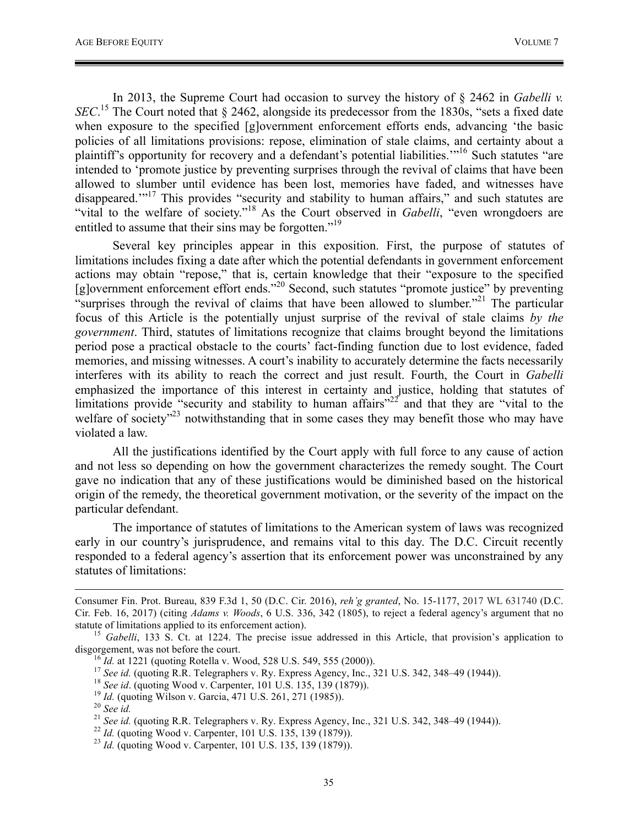In 2013, the Supreme Court had occasion to survey the history of § 2462 in *Gabelli v. SEC*<sup>15</sup> The Court noted that § 2462, alongside its predecessor from the 1830s, "sets a fixed date when exposure to the specified [g]overnment enforcement efforts ends, advancing 'the basic policies of all limitations provisions: repose, elimination of stale claims, and certainty about a plaintiff's opportunity for recovery and a defendant's potential liabilities."<sup>16</sup> Such statutes "are intended to 'promote justice by preventing surprises through the revival of claims that have been allowed to slumber until evidence has been lost, memories have faded, and witnesses have disappeared."<sup>17</sup> This provides "security and stability to human affairs," and such statutes are "vital to the welfare of society."<sup>18</sup> As the Court observed in *Gabelli*, "even wrongdoers are entitled to assume that their sins may be forgotten."<sup>19</sup>

Several key principles appear in this exposition. First, the purpose of statutes of limitations includes fixing a date after which the potential defendants in government enforcement actions may obtain "repose," that is, certain knowledge that their "exposure to the specified [g]overnment enforcement effort ends."<sup>20</sup> Second, such statutes "promote justice" by preventing "surprises through the revival of claims that have been allowed to slumber."<sup>21</sup> The particular focus of this Article is the potentially unjust surprise of the revival of stale claims *by the government*. Third, statutes of limitations recognize that claims brought beyond the limitations period pose a practical obstacle to the courts' fact-finding function due to lost evidence, faded memories, and missing witnesses. A court's inability to accurately determine the facts necessarily interferes with its ability to reach the correct and just result. Fourth, the Court in *Gabelli*  emphasized the importance of this interest in certainty and justice, holding that statutes of limitations provide "security and stability to human affairs"<sup>22'</sup> and that they are "vital to the welfare of society<sup>"23</sup> notwithstanding that in some cases they may benefit those who may have violated a law.

All the justifications identified by the Court apply with full force to any cause of action and not less so depending on how the government characterizes the remedy sought. The Court gave no indication that any of these justifications would be diminished based on the historical origin of the remedy, the theoretical government motivation, or the severity of the impact on the particular defendant.

The importance of statutes of limitations to the American system of laws was recognized early in our country's jurisprudence, and remains vital to this day. The D.C. Circuit recently responded to a federal agency's assertion that its enforcement power was unconstrained by any statutes of limitations:

- 
- 
- 

Consumer Fin. Prot. Bureau, 839 F.3d 1, 50 (D.C. Cir. 2016), *reh'g granted*, No. 15-1177, 2017 WL 631740 (D.C. Cir. Feb. 16, 2017) (citing *Adams v. Woods*, 6 U.S. 336, 342 (1805), to reject a federal agency's argument that no

statute of limitations applied to its enforcement action). <sup>15</sup> *Gabelli*, 133 S. Ct. at 1224. The precise issue addressed in this Article, that provision's application to disgorgement, was not before the court.<br>
<sup>16</sup> *Id.* at 1221 (quoting Rotella v. Wood, 528 U.S. 549, 555 (2000)).<br>
<sup>17</sup> *See id.* (quoting R.R. Telegraphers v. Ry. Express Agency, Inc., 321 U.S. 342, 348–49 (1944)).<br>
<sup>18</sup>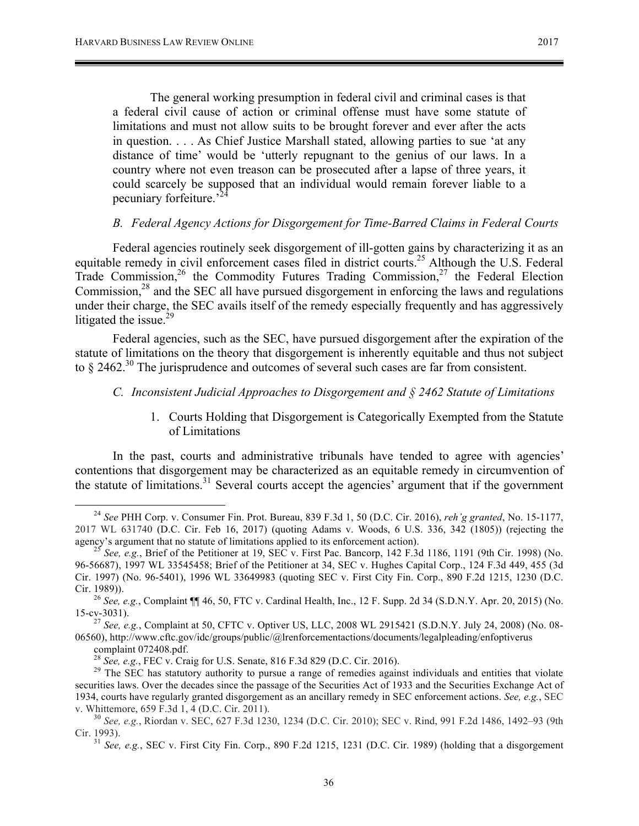The general working presumption in federal civil and criminal cases is that a federal civil cause of action or criminal offense must have some statute of limitations and must not allow suits to be brought forever and ever after the acts in question. . . . As Chief Justice Marshall stated, allowing parties to sue 'at any distance of time' would be 'utterly repugnant to the genius of our laws. In a country where not even treason can be prosecuted after a lapse of three years, it could scarcely be supposed that an individual would remain forever liable to a pecuniary forfeiture.'<sup>24</sup>

#### *B. Federal Agency Actions for Disgorgement for Time-Barred Claims in Federal Courts*

Federal agencies routinely seek disgorgement of ill-gotten gains by characterizing it as an equitable remedy in civil enforcement cases filed in district courts.<sup>25</sup> Although the U.S. Federal Trade Commission,<sup>26</sup> the Commodity Futures Trading Commission,<sup>27</sup> the Federal Election Commission,<sup>28</sup> and the SEC all have pursued disgorgement in enforcing the laws and regulations under their charge, the SEC avails itself of the remedy especially frequently and has aggressively litigated the issue. $29$ 

Federal agencies, such as the SEC, have pursued disgorgement after the expiration of the statute of limitations on the theory that disgorgement is inherently equitable and thus not subject to § 2462.<sup>30</sup> The jurisprudence and outcomes of several such cases are far from consistent.

## *C. Inconsistent Judicial Approaches to Disgorgement and § 2462 Statute of Limitations*

1. Courts Holding that Disgorgement is Categorically Exempted from the Statute of Limitations

In the past, courts and administrative tribunals have tended to agree with agencies' contentions that disgorgement may be characterized as an equitable remedy in circumvention of the statute of limitations.<sup>31</sup> Several courts accept the agencies' argument that if the government

 <sup>24</sup> *See* PHH Corp. v. Consumer Fin. Prot. Bureau, 839 F.3d 1, 50 (D.C. Cir. 2016), *reh'g granted*, No. 15-1177, 2017 WL 631740 (D.C. Cir. Feb 16, 2017) (quoting Adams v. Woods, 6 U.S. 336, 342 (1805)) (rejecting the agency's argument that no statute of limitations applied to its enforcement action).<br><sup>25</sup> *See*, *e.g.*, Brief of the Petitioner at 19, SEC v. First Pac. Bancorp, 142 F.3d 1186, 1191 (9th Cir. 1998) (No.

<sup>96-56687), 1997</sup> WL 33545458; Brief of the Petitioner at 34, SEC v. Hughes Capital Corp., 124 F.3d 449, 455 (3d Cir. 1997) (No. 96-5401), 1996 WL 33649983 (quoting SEC v. First City Fin. Corp., 890 F.2d 1215, 1230 (D.C.

Cir. 1989)). <sup>26</sup> *See, e.g.*, Complaint ¶¶ 46, 50, FTC v. Cardinal Health, Inc., 12 F. Supp. 2d 34 (S.D.N.Y. Apr. 20, 2015) (No.

<sup>15-</sup>cv-3031). <sup>27</sup> *See, e.g.*, Complaint at 50, CFTC v. Optiver US, LLC, 2008 WL 2915421 (S.D.N.Y. July 24, 2008) (No. 08- 06560), http://www.cftc.gov/idc/groups/public/@lrenforcementactions/documents/legalpleading/enfoptiverus

complaint 072408.pdf.<br><sup>28</sup> *See, e.g.*, FEC v. Craig for U.S. Senate, 816 F.3d 829 (D.C. Cir. 2016).<br><sup>29</sup> The SEC has statutory authority to pursue a range of remedies against individuals and entities that violate securities laws. Over the decades since the passage of the Securities Act of 1933 and the Securities Exchange Act of 1934, courts have regularly granted disgorgement as an ancillary remedy in SEC enforcement actions. *See, e.g.*, SEC v. Whittemore, 659 F.3d 1, 4 (D.C. Cir. 2011). <sup>30</sup> *See, e.g.*, Riordan v. SEC, 627 F.3d 1230, 1234 (D.C. Cir. 2010); SEC v. Rind, 991 F.2d 1486, 1492–93 (9th

Cir. 1993). <sup>31</sup> *See, e.g.*, SEC v. First City Fin. Corp., 890 F.2d 1215, 1231 (D.C. Cir. 1989) (holding that a disgorgement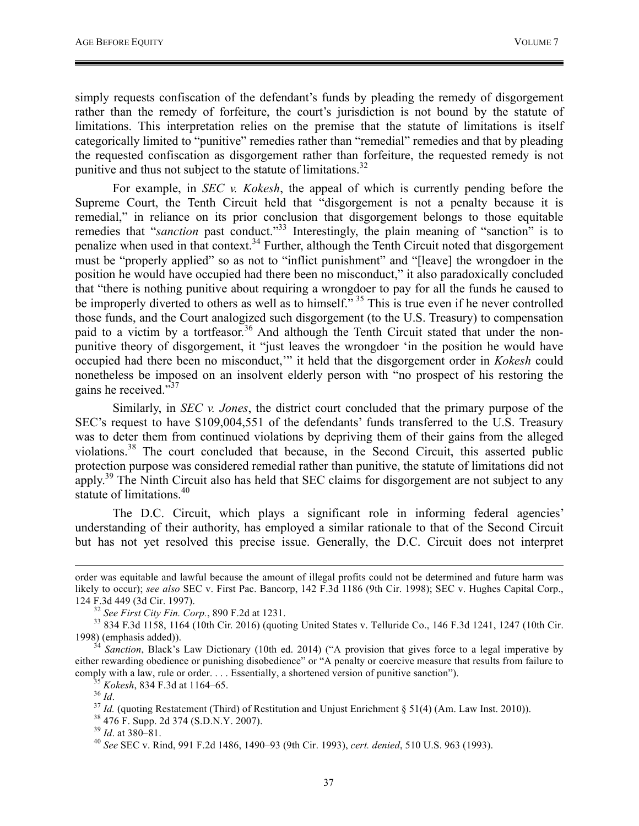simply requests confiscation of the defendant's funds by pleading the remedy of disgorgement rather than the remedy of forfeiture, the court's jurisdiction is not bound by the statute of limitations. This interpretation relies on the premise that the statute of limitations is itself categorically limited to "punitive" remedies rather than "remedial" remedies and that by pleading the requested confiscation as disgorgement rather than forfeiture, the requested remedy is not punitive and thus not subject to the statute of limitations.<sup>32</sup>

For example, in *SEC v. Kokesh*, the appeal of which is currently pending before the Supreme Court, the Tenth Circuit held that "disgorgement is not a penalty because it is remedial," in reliance on its prior conclusion that disgorgement belongs to those equitable remedies that "*sanction* past conduct."<sup>33</sup> Interestingly, the plain meaning of "sanction" is to penalize when used in that context.<sup>34</sup> Further, although the Tenth Circuit noted that disgorgement must be "properly applied" so as not to "inflict punishment" and "[leave] the wrongdoer in the position he would have occupied had there been no misconduct," it also paradoxically concluded that "there is nothing punitive about requiring a wrongdoer to pay for all the funds he caused to be improperly diverted to others as well as to himself."<sup>35</sup> This is true even if he never controlled those funds, and the Court analogized such disgorgement (to the U.S. Treasury) to compensation paid to a victim by a tortfeasor.<sup>36</sup> And although the Tenth Circuit stated that under the nonpunitive theory of disgorgement, it "just leaves the wrongdoer 'in the position he would have occupied had there been no misconduct,'" it held that the disgorgement order in *Kokesh* could nonetheless be imposed on an insolvent elderly person with "no prospect of his restoring the gains he received."<sup>37</sup>

Similarly, in *SEC v. Jones*, the district court concluded that the primary purpose of the SEC's request to have \$109,004,551 of the defendants' funds transferred to the U.S. Treasury was to deter them from continued violations by depriving them of their gains from the alleged violations.<sup>38</sup> The court concluded that because, in the Second Circuit, this asserted public protection purpose was considered remedial rather than punitive, the statute of limitations did not apply.<sup>39</sup> The Ninth Circuit also has held that SEC claims for disgorgement are not subject to any statute of limitations.<sup>40</sup>

The D.C. Circuit, which plays a significant role in informing federal agencies' understanding of their authority, has employed a similar rationale to that of the Second Circuit but has not yet resolved this precise issue. Generally, the D.C. Circuit does not interpret

order was equitable and lawful because the amount of illegal profits could not be determined and future harm was likely to occur); *see also* SEC v. First Pac. Bancorp, 142 F.3d 1186 (9th Cir. 1998); SEC v. Hughes Capital Corp.,

<sup>124</sup> F.3d 449 (3d Cir. 1997).<br><sup>32</sup> *See First City Fin. Corp.*, 890 F.2d at 1231.<br><sup>33</sup> 834 F.3d 1158, 1164 (10th Cir. 2016) (quoting United States v. Telluride Co., 146 F.3d 1241, 1247 (10th Cir.<br>1998) (emphasis added)).

<sup>&</sup>lt;sup>54</sup> *Sanction*, Black's Law Dictionary (10th ed. 2014) ("A provision that gives force to a legal imperative by either rewarding obedience or punishing disobedience" or "A penalty or coercive measure that results from failure to comply with a law, rule or order.... Essentially, a shortened version of punitive sanction").<br>
<sup>35</sup> *Kokesh*, 834 F.3d at 1164–65.<br>
<sup>37</sup> *Id.* (quoting Restatement (Third) of Restitution and Unjust Enrichment § 51(4) (Am.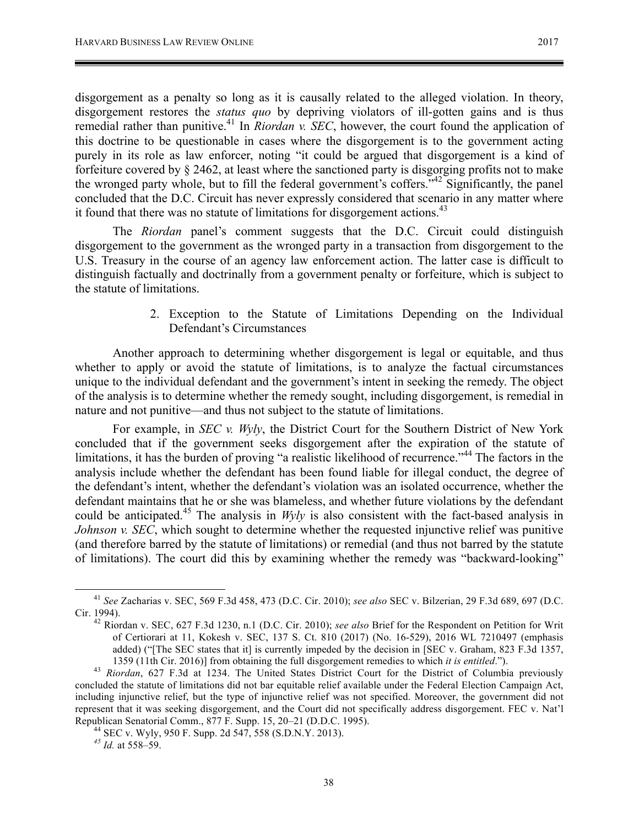disgorgement as a penalty so long as it is causally related to the alleged violation. In theory, disgorgement restores the *status quo* by depriving violators of ill-gotten gains and is thus remedial rather than punitive.<sup>41</sup> In *Riordan v. SEC*, however, the court found the application of this doctrine to be questionable in cases where the disgorgement is to the government acting purely in its role as law enforcer, noting "it could be argued that disgorgement is a kind of forfeiture covered by § 2462, at least where the sanctioned party is disgorging profits not to make the wronged party whole, but to fill the federal government's coffers."<sup>42</sup> Significantly, the panel concluded that the D.C. Circuit has never expressly considered that scenario in any matter where it found that there was no statute of limitations for disgorgement actions.<sup>43</sup>

The *Riordan* panel's comment suggests that the D.C. Circuit could distinguish disgorgement to the government as the wronged party in a transaction from disgorgement to the U.S. Treasury in the course of an agency law enforcement action. The latter case is difficult to distinguish factually and doctrinally from a government penalty or forfeiture, which is subject to the statute of limitations.

> 2. Exception to the Statute of Limitations Depending on the Individual Defendant's Circumstances

Another approach to determining whether disgorgement is legal or equitable, and thus whether to apply or avoid the statute of limitations, is to analyze the factual circumstances unique to the individual defendant and the government's intent in seeking the remedy. The object of the analysis is to determine whether the remedy sought, including disgorgement, is remedial in nature and not punitive—and thus not subject to the statute of limitations.

For example, in *SEC v. Wyly*, the District Court for the Southern District of New York concluded that if the government seeks disgorgement after the expiration of the statute of limitations, it has the burden of proving "a realistic likelihood of recurrence."<sup>44</sup> The factors in the analysis include whether the defendant has been found liable for illegal conduct, the degree of the defendant's intent, whether the defendant's violation was an isolated occurrence, whether the defendant maintains that he or she was blameless, and whether future violations by the defendant could be anticipated.<sup>45</sup> The analysis in *Wyly* is also consistent with the fact-based analysis in *Johnson v. SEC*, which sought to determine whether the requested injunctive relief was punitive (and therefore barred by the statute of limitations) or remedial (and thus not barred by the statute of limitations). The court did this by examining whether the remedy was "backward-looking"

 <sup>41</sup> *See* Zacharias v. SEC, 569 F.3d 458, 473 (D.C. Cir. 2010); *see also* SEC v. Bilzerian, 29 F.3d 689, 697 (D.C. Cir. 1994). <sup>42</sup> Riordan v. SEC, 627 F.3d 1230, n.1 (D.C. Cir. 2010); *see also* Brief for the Respondent on Petition for Writ

of Certiorari at 11, Kokesh v. SEC, 137 S. Ct. 810 (2017) (No. 16-529), 2016 WL 7210497 (emphasis added) ("[The SEC states that it] is currently impeded by the decision in [SEC v. Graham, 823 F.3d 1357,

<sup>1359 (11</sup>th Cir. 2016)] from obtaining the full disgorgement remedies to which *it is entitled*."). <sup>43</sup> *Riordan*, 627 F.3d at 1234. The United States District Court for the District of Columbia previously concluded the statute of limitations did not bar equitable relief available under the Federal Election Campaign Act, including injunctive relief, but the type of injunctive relief was not specified. Moreover, the government did not represent that it was seeking disgorgement, and the Court did not specifically address disgorgement. FEC v. Nat'l Republican Senatorial Comm., 877 F. Supp. 15, 20–21 (D.D.C. 1995). <sup>44</sup> SEC v. Wyly, 950 F. Supp. 2d 547, 558 (S.D.N.Y. 2013). *<sup>45</sup> Id.* at 558–59.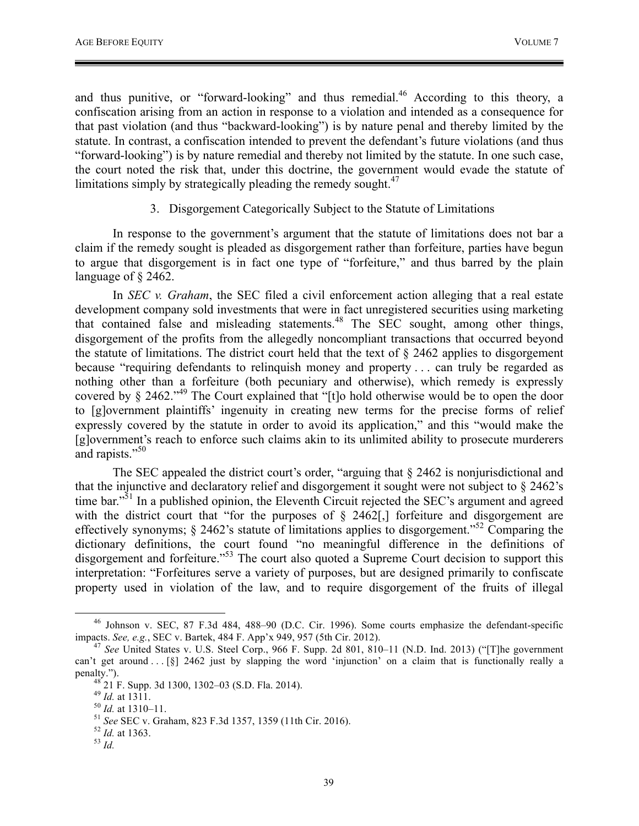and thus punitive, or "forward-looking" and thus remedial.<sup>46</sup> According to this theory, a confiscation arising from an action in response to a violation and intended as a consequence for that past violation (and thus "backward-looking") is by nature penal and thereby limited by the statute. In contrast, a confiscation intended to prevent the defendant's future violations (and thus "forward-looking") is by nature remedial and thereby not limited by the statute. In one such case, the court noted the risk that, under this doctrine, the government would evade the statute of limitations simply by strategically pleading the remedy sought. $47$ 

#### 3. Disgorgement Categorically Subject to the Statute of Limitations

In response to the government's argument that the statute of limitations does not bar a claim if the remedy sought is pleaded as disgorgement rather than forfeiture, parties have begun to argue that disgorgement is in fact one type of "forfeiture," and thus barred by the plain language of § 2462.

In *SEC v. Graham*, the SEC filed a civil enforcement action alleging that a real estate development company sold investments that were in fact unregistered securities using marketing that contained false and misleading statements.<sup>48</sup> The SEC sought, among other things, disgorgement of the profits from the allegedly noncompliant transactions that occurred beyond the statute of limitations. The district court held that the text of § 2462 applies to disgorgement because "requiring defendants to relinquish money and property . . . can truly be regarded as nothing other than a forfeiture (both pecuniary and otherwise), which remedy is expressly covered by § 2462."<sup>49</sup> The Court explained that "[t]o hold otherwise would be to open the door to [g]overnment plaintiffs' ingenuity in creating new terms for the precise forms of relief expressly covered by the statute in order to avoid its application," and this "would make the [g]overnment's reach to enforce such claims akin to its unlimited ability to prosecute murderers and rapists."<sup>50</sup>

The SEC appealed the district court's order, "arguing that § 2462 is nonjurisdictional and that the injunctive and declaratory relief and disgorgement it sought were not subject to § 2462's time bar."<sup>51</sup> In a published opinion, the Eleventh Circuit rejected the SEC's argument and agreed with the district court that "for the purposes of  $\S$  2462[,] forfeiture and disgorgement are effectively synonyms; § 2462's statute of limitations applies to disgorgement."52 Comparing the dictionary definitions, the court found "no meaningful difference in the definitions of disgorgement and forfeiture."<sup>53</sup> The court also quoted a Supreme Court decision to support this interpretation: "Forfeitures serve a variety of purposes, but are designed primarily to confiscate property used in violation of the law, and to require disgorgement of the fruits of illegal

<sup>&</sup>lt;sup>46</sup> Johnson v. SEC, 87 F.3d 484, 488–90 (D.C. Cir. 1996). Some courts emphasize the defendant-specific impacts. See, e.g., SEC v. Bartek, 484 F. App'x 949, 957 (5th Cir. 2012).

<sup>&</sup>lt;sup>47</sup> See United States v. U.S. Steel Corp., 966 F. Supp. 2d 801, 810–11 (N.D. Ind. 2013) ("[T]he government can't get around . . . [§] 2462 just by slapping the word 'injunction' on a claim that is functionally really a penalty.").<br><sup>48</sup> 21 F. Supp. 3d 1300, 1302–03 (S.D. Fla. 2014).<br><sup>49</sup> *Id.* at 1311.<br><sup>51</sup> *See* SEC v. Graham, 823 F.3d 1357, 1359 (11th Cir. 2016).<br><sup>52</sup> *Id.* at 1363.<br><sup>53</sup> *Id.*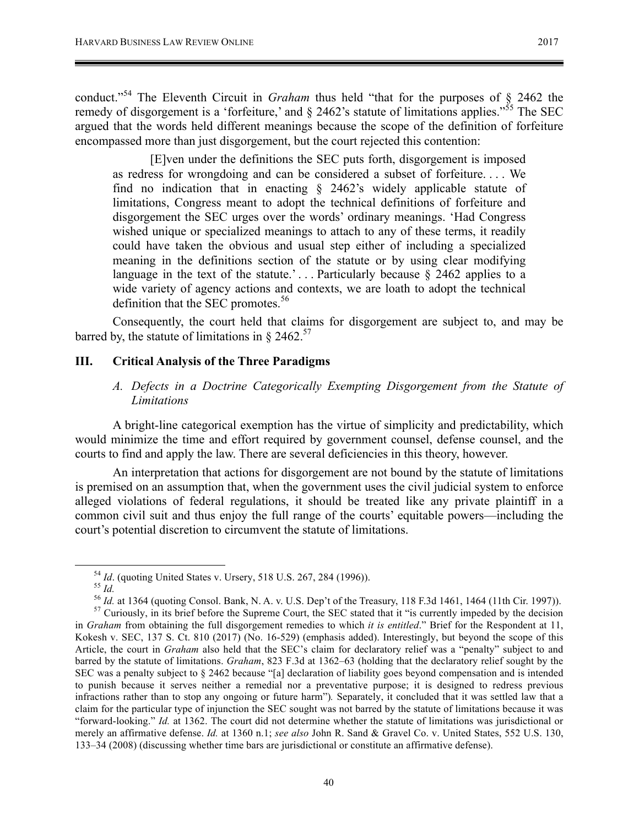conduct."<sup>54</sup> The Eleventh Circuit in *Graham* thus held "that for the purposes of § 2462 the remedy of disgorgement is a 'forfeiture,' and  $\S$  2462's statute of limitations applies."<sup>55</sup> The SEC argued that the words held different meanings because the scope of the definition of forfeiture encompassed more than just disgorgement, but the court rejected this contention:

[E]ven under the definitions the SEC puts forth, disgorgement is imposed as redress for wrongdoing and can be considered a subset of forfeiture. . . . We find no indication that in enacting § 2462's widely applicable statute of limitations, Congress meant to adopt the technical definitions of forfeiture and disgorgement the SEC urges over the words' ordinary meanings. 'Had Congress wished unique or specialized meanings to attach to any of these terms, it readily could have taken the obvious and usual step either of including a specialized meaning in the definitions section of the statute or by using clear modifying language in the text of the statute.'... Particularly because  $\S$  2462 applies to a wide variety of agency actions and contexts, we are loath to adopt the technical definition that the SEC promotes.<sup>56</sup>

Consequently, the court held that claims for disgorgement are subject to, and may be barred by, the statute of limitations in  $\S 2462$ .<sup>57</sup>

#### **III. Critical Analysis of the Three Paradigms**

#### *A. Defects in a Doctrine Categorically Exempting Disgorgement from the Statute of Limitations*

A bright-line categorical exemption has the virtue of simplicity and predictability, which would minimize the time and effort required by government counsel, defense counsel, and the courts to find and apply the law. There are several deficiencies in this theory, however.

An interpretation that actions for disgorgement are not bound by the statute of limitations is premised on an assumption that, when the government uses the civil judicial system to enforce alleged violations of federal regulations, it should be treated like any private plaintiff in a common civil suit and thus enjoy the full range of the courts' equitable powers—including the court's potential discretion to circumvent the statute of limitations.

<sup>&</sup>lt;sup>54</sup> *Id.* (quoting United States v. Ursery, 518 U.S. 267, 284 (1996)).<br><sup>55</sup> *Id.* at 1364 (quoting Consol. Bank, N. A. v. U.S. Dep't of the Treasury, 118 F.3d 1461, 1464 (11th Cir. 1997)).<br><sup>56</sup> *Id.* at 1364 (quoting Con

in *Graham* from obtaining the full disgorgement remedies to which *it is entitled*." Brief for the Respondent at 11, Kokesh v. SEC, 137 S. Ct. 810 (2017) (No. 16-529) (emphasis added). Interestingly, but beyond the scope of this Article, the court in *Graham* also held that the SEC's claim for declaratory relief was a "penalty" subject to and barred by the statute of limitations. *Graham*, 823 F.3d at 1362–63 (holding that the declaratory relief sought by the SEC was a penalty subject to § 2462 because "[a] declaration of liability goes beyond compensation and is intended to punish because it serves neither a remedial nor a preventative purpose; it is designed to redress previous infractions rather than to stop any ongoing or future harm")*.* Separately, it concluded that it was settled law that a claim for the particular type of injunction the SEC sought was not barred by the statute of limitations because it was "forward-looking." *Id.* at 1362. The court did not determine whether the statute of limitations was jurisdictional or merely an affirmative defense. *Id.* at 1360 n.1; *see also* John R. Sand & Gravel Co. v. United States, 552 U.S. 130, 133–34 (2008) (discussing whether time bars are jurisdictional or constitute an affirmative defense).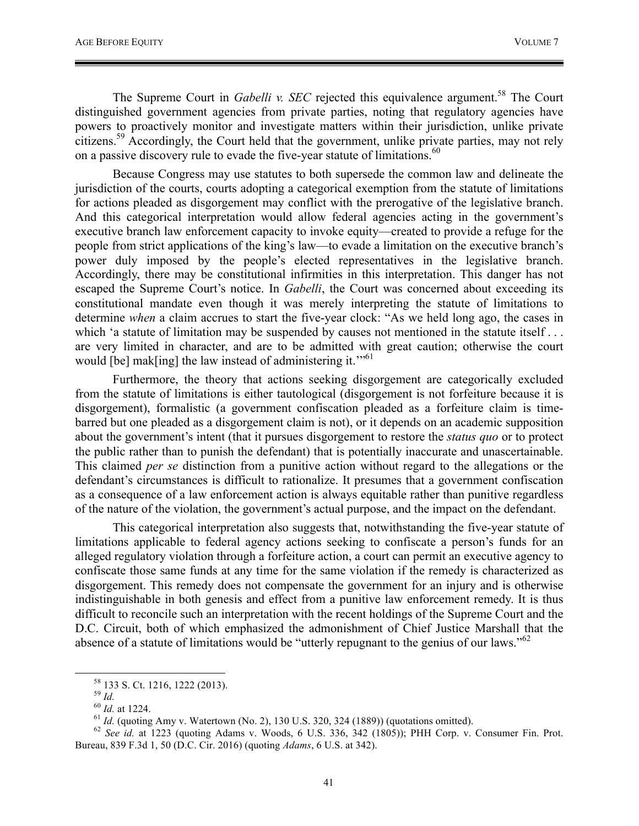The Supreme Court in *Gabelli v. SEC* rejected this equivalence argument.<sup>58</sup> The Court distinguished government agencies from private parties, noting that regulatory agencies have powers to proactively monitor and investigate matters within their jurisdiction, unlike private citizens.<sup>59</sup> Accordingly, the Court held that the government, unlike private parties, may not rely on a passive discovery rule to evade the five-year statute of limitations.<sup>60</sup>

Because Congress may use statutes to both supersede the common law and delineate the jurisdiction of the courts, courts adopting a categorical exemption from the statute of limitations for actions pleaded as disgorgement may conflict with the prerogative of the legislative branch. And this categorical interpretation would allow federal agencies acting in the government's executive branch law enforcement capacity to invoke equity—created to provide a refuge for the people from strict applications of the king's law—to evade a limitation on the executive branch's power duly imposed by the people's elected representatives in the legislative branch. Accordingly, there may be constitutional infirmities in this interpretation. This danger has not escaped the Supreme Court's notice. In *Gabelli*, the Court was concerned about exceeding its constitutional mandate even though it was merely interpreting the statute of limitations to determine *when* a claim accrues to start the five-year clock: "As we held long ago, the cases in which 'a statute of limitation may be suspended by causes not mentioned in the statute itself... are very limited in character, and are to be admitted with great caution; otherwise the court would [be] mak[ing] the law instead of administering it."<sup>61</sup>

Furthermore, the theory that actions seeking disgorgement are categorically excluded from the statute of limitations is either tautological (disgorgement is not forfeiture because it is disgorgement), formalistic (a government confiscation pleaded as a forfeiture claim is timebarred but one pleaded as a disgorgement claim is not), or it depends on an academic supposition about the government's intent (that it pursues disgorgement to restore the *status quo* or to protect the public rather than to punish the defendant) that is potentially inaccurate and unascertainable. This claimed *per se* distinction from a punitive action without regard to the allegations or the defendant's circumstances is difficult to rationalize. It presumes that a government confiscation as a consequence of a law enforcement action is always equitable rather than punitive regardless of the nature of the violation, the government's actual purpose, and the impact on the defendant.

This categorical interpretation also suggests that, notwithstanding the five-year statute of limitations applicable to federal agency actions seeking to confiscate a person's funds for an alleged regulatory violation through a forfeiture action, a court can permit an executive agency to confiscate those same funds at any time for the same violation if the remedy is characterized as disgorgement. This remedy does not compensate the government for an injury and is otherwise indistinguishable in both genesis and effect from a punitive law enforcement remedy. It is thus difficult to reconcile such an interpretation with the recent holdings of the Supreme Court and the D.C. Circuit, both of which emphasized the admonishment of Chief Justice Marshall that the absence of a statute of limitations would be "utterly repugnant to the genius of our laws."<sup>62</sup>

<sup>&</sup>lt;sup>58</sup> 133 S. Ct. 1216, 1222 (2013).<br><sup>59</sup> *Id.*<br><sup>60</sup> *Id.* at 1224.<br><sup>61</sup> *Id.* (quoting Amy v. Watertown (No. 2), 130 U.S. 320, 324 (1889)) (quotations omitted).<br><sup>62</sup> *See id.* at 1223 (quoting Adams v. Woods, 6 U.S. 336, 3 Bureau, 839 F.3d 1, 50 (D.C. Cir. 2016) (quoting *Adams*, 6 U.S. at 342).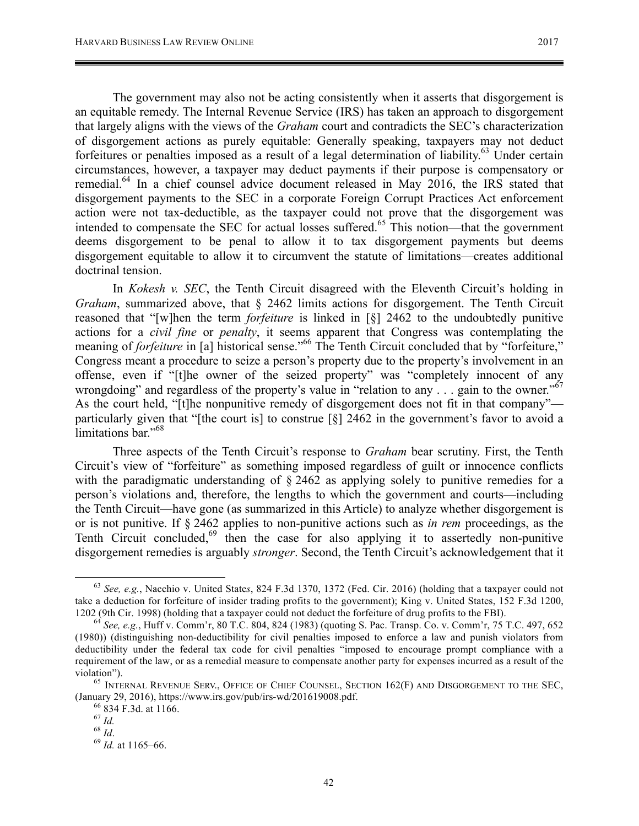The government may also not be acting consistently when it asserts that disgorgement is an equitable remedy. The Internal Revenue Service (IRS) has taken an approach to disgorgement that largely aligns with the views of the *Graham* court and contradicts the SEC's characterization of disgorgement actions as purely equitable: Generally speaking, taxpayers may not deduct forfeitures or penalties imposed as a result of a legal determination of liability.<sup>63</sup> Under certain circumstances, however, a taxpayer may deduct payments if their purpose is compensatory or remedial.<sup>64</sup> In a chief counsel advice document released in May 2016, the IRS stated that disgorgement payments to the SEC in a corporate Foreign Corrupt Practices Act enforcement action were not tax-deductible, as the taxpayer could not prove that the disgorgement was intended to compensate the SEC for actual losses suffered.<sup>65</sup> This notion—that the government deems disgorgement to be penal to allow it to tax disgorgement payments but deems disgorgement equitable to allow it to circumvent the statute of limitations—creates additional doctrinal tension.

In *Kokesh v. SEC*, the Tenth Circuit disagreed with the Eleventh Circuit's holding in *Graham*, summarized above, that § 2462 limits actions for disgorgement. The Tenth Circuit reasoned that "[w]hen the term *forfeiture* is linked in [§] 2462 to the undoubtedly punitive actions for a *civil fine* or *penalty*, it seems apparent that Congress was contemplating the meaning of *forfeiture* in [a] historical sense.<sup>"66</sup> The Tenth Circuit concluded that by "forfeiture," Congress meant a procedure to seize a person's property due to the property's involvement in an offense, even if "[t]he owner of the seized property" was "completely innocent of any wrongdoing" and regardless of the property's value in "relation to any  $\ldots$  gain to the owner."<sup>67</sup> As the court held, "[t]he nonpunitive remedy of disgorgement does not fit in that company" particularly given that "[the court is] to construe [§] 2462 in the government's favor to avoid a limitations bar."<sup>68</sup>

Three aspects of the Tenth Circuit's response to *Graham* bear scrutiny. First, the Tenth Circuit's view of "forfeiture" as something imposed regardless of guilt or innocence conflicts with the paradigmatic understanding of  $\S 2462$  as applying solely to punitive remedies for a person's violations and, therefore, the lengths to which the government and courts—including the Tenth Circuit—have gone (as summarized in this Article) to analyze whether disgorgement is or is not punitive. If § 2462 applies to non-punitive actions such as *in rem* proceedings, as the Tenth Circuit concluded, $^{69}$  then the case for also applying it to assertedly non-punitive disgorgement remedies is arguably *stronger*. Second, the Tenth Circuit's acknowledgement that it

 <sup>63</sup> *See, e.g.*, Nacchio v. United State*s*, 824 F.3d 1370, 1372 (Fed. Cir. 2016) (holding that a taxpayer could not take a deduction for forfeiture of insider trading profits to the government); King v. United States, 152 F.3d 1200, 1202 (9th Cir. 1998) (holding that a taxpayer could not deduct the forfeiture of drug profits to the FBI). <sup>64</sup> *See, e.g.*, Huff v. Comm'r, 80 T.C. 804, 824 (1983) (quoting S. Pac. Transp. Co. v. Comm'r, 75 T.C. 497, 652

<sup>(1980)) (</sup>distinguishing non-deductibility for civil penalties imposed to enforce a law and punish violators from deductibility under the federal tax code for civil penalties "imposed to encourage prompt compliance with a requirement of the law, or as a remedial measure to compensate another party for expenses incurred as a result of the violation").<br><sup>65</sup> INTERNAL REVENUE SERV., OFFICE OF CHIEF COUNSEL, SECTION 162(F) AND DISGORGEMENT TO THE SEC,

<sup>(</sup>January 29, 2016), https://www.irs.gov/pub/irs-wd/201619008.pdf.<br>
<sup>66</sup> 834 F.3d. at 1166.<br>
<sup>67</sup> *Id.*<br>
<sup>68</sup> *Id.* <sup>68</sup> *Id.* at 1165–66.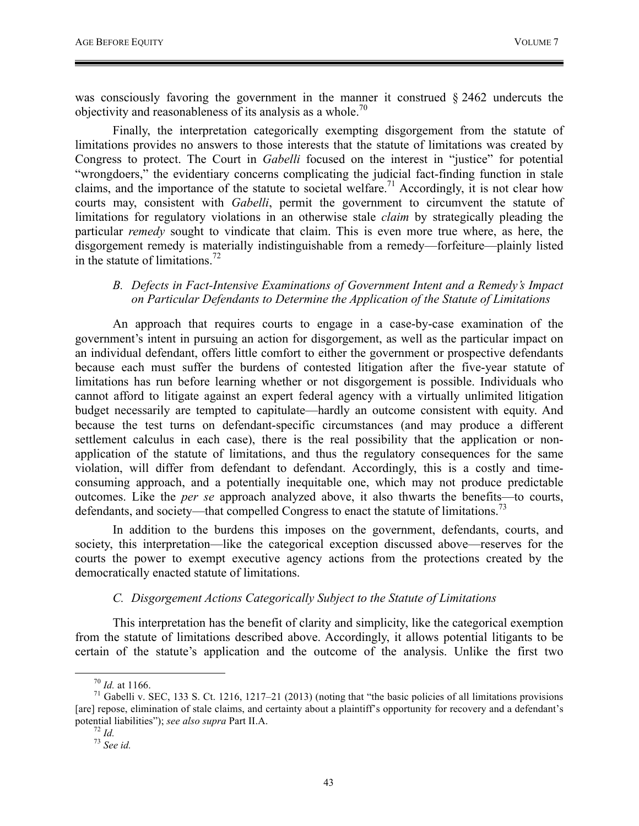was consciously favoring the government in the manner it construed § 2462 undercuts the objectivity and reasonableness of its analysis as a whole.<sup>70</sup>

Finally, the interpretation categorically exempting disgorgement from the statute of limitations provides no answers to those interests that the statute of limitations was created by Congress to protect. The Court in *Gabelli* focused on the interest in "justice" for potential "wrongdoers," the evidentiary concerns complicating the judicial fact-finding function in stale claims, and the importance of the statute to societal welfare.<sup>71</sup> Accordingly, it is not clear how courts may, consistent with *Gabelli*, permit the government to circumvent the statute of limitations for regulatory violations in an otherwise stale *claim* by strategically pleading the particular *remedy* sought to vindicate that claim. This is even more true where, as here, the disgorgement remedy is materially indistinguishable from a remedy—forfeiture—plainly listed in the statute of limitations.<sup>72</sup>

#### *B. Defects in Fact-Intensive Examinations of Government Intent and a Remedy's Impact on Particular Defendants to Determine the Application of the Statute of Limitations*

An approach that requires courts to engage in a case-by-case examination of the government's intent in pursuing an action for disgorgement, as well as the particular impact on an individual defendant, offers little comfort to either the government or prospective defendants because each must suffer the burdens of contested litigation after the five-year statute of limitations has run before learning whether or not disgorgement is possible. Individuals who cannot afford to litigate against an expert federal agency with a virtually unlimited litigation budget necessarily are tempted to capitulate—hardly an outcome consistent with equity. And because the test turns on defendant-specific circumstances (and may produce a different settlement calculus in each case), there is the real possibility that the application or nonapplication of the statute of limitations, and thus the regulatory consequences for the same violation, will differ from defendant to defendant. Accordingly, this is a costly and timeconsuming approach, and a potentially inequitable one, which may not produce predictable outcomes. Like the *per se* approach analyzed above, it also thwarts the benefits—to courts, defendants, and society—that compelled Congress to enact the statute of limitations.<sup>73</sup>

In addition to the burdens this imposes on the government, defendants, courts, and society, this interpretation—like the categorical exception discussed above—reserves for the courts the power to exempt executive agency actions from the protections created by the democratically enacted statute of limitations.

#### *C. Disgorgement Actions Categorically Subject to the Statute of Limitations*

This interpretation has the benefit of clarity and simplicity, like the categorical exemption from the statute of limitations described above. Accordingly, it allows potential litigants to be certain of the statute's application and the outcome of the analysis. Unlike the first two

<sup>&</sup>lt;sup>70</sup> *Id.* at 1166.<br><sup>71</sup> Gabelli v. SEC, 133 S. Ct. 1216, 1217–21 (2013) (noting that "the basic policies of all limitations provisions [are] repose, elimination of stale claims, and certainty about a plaintiff's opportunity for recovery and a defendant's potential liabilities"); *see also supra* Part II.A.<br><sup>72</sup> *Id.* <sup>73</sup> *See id.*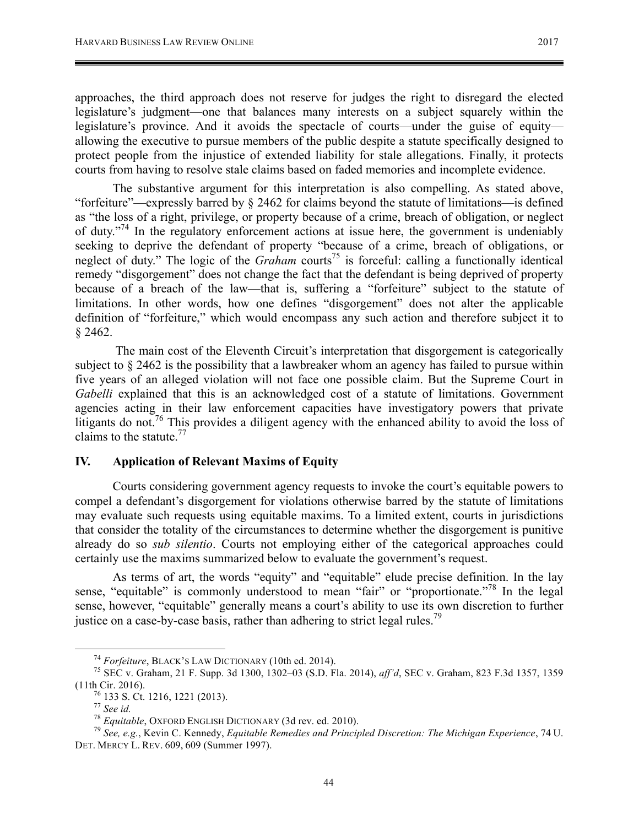approaches, the third approach does not reserve for judges the right to disregard the elected legislature's judgment—one that balances many interests on a subject squarely within the legislature's province. And it avoids the spectacle of courts—under the guise of equity allowing the executive to pursue members of the public despite a statute specifically designed to protect people from the injustice of extended liability for stale allegations. Finally, it protects courts from having to resolve stale claims based on faded memories and incomplete evidence.

The substantive argument for this interpretation is also compelling. As stated above, "forfeiture"—expressly barred by § 2462 for claims beyond the statute of limitations—is defined as "the loss of a right, privilege, or property because of a crime, breach of obligation, or neglect of duty. $17<sup>74</sup>$  In the regulatory enforcement actions at issue here, the government is undeniably seeking to deprive the defendant of property "because of a crime, breach of obligations, or neglect of duty." The logic of the *Graham* courts<sup>75</sup> is forceful: calling a functionally identical remedy "disgorgement" does not change the fact that the defendant is being deprived of property because of a breach of the law—that is, suffering a "forfeiture" subject to the statute of limitations. In other words, how one defines "disgorgement" does not alter the applicable definition of "forfeiture," which would encompass any such action and therefore subject it to § 2462.

The main cost of the Eleventh Circuit's interpretation that disgorgement is categorically subject to  $\S 2462$  is the possibility that a lawbreaker whom an agency has failed to pursue within five years of an alleged violation will not face one possible claim. But the Supreme Court in *Gabelli* explained that this is an acknowledged cost of a statute of limitations. Government agencies acting in their law enforcement capacities have investigatory powers that private litigants do not.<sup>76</sup> This provides a diligent agency with the enhanced ability to avoid the loss of claims to the statute. $^{77}$ 

#### **IV. Application of Relevant Maxims of Equity**

Courts considering government agency requests to invoke the court's equitable powers to compel a defendant's disgorgement for violations otherwise barred by the statute of limitations may evaluate such requests using equitable maxims. To a limited extent, courts in jurisdictions that consider the totality of the circumstances to determine whether the disgorgement is punitive already do so *sub silentio*. Courts not employing either of the categorical approaches could certainly use the maxims summarized below to evaluate the government's request.

As terms of art, the words "equity" and "equitable" elude precise definition. In the lay sense, "equitable" is commonly understood to mean "fair" or "proportionate."<sup>78</sup> In the legal sense, however, "equitable" generally means a court's ability to use its own discretion to further justice on a case-by-case basis, rather than adhering to strict legal rules.<sup>79</sup>

<sup>74</sup> *Forfeiture*, BLACK'S LAW DICTIONARY (10th ed. 2014). <sup>75</sup> SEC v. Graham, 21 F. Supp. 3d 1300, 1302–03 (S.D. Fla. 2014), *aff'd*, SEC v. Graham, 823 F.3d 1357, 1359 (11th Cir. 2016).<br>
<sup>76</sup> 133 S. Ct. 1216, 1221 (2013).<br>
<sup>77</sup> See id.<br>
<sup>78</sup> Equitable, OXFORD ENGLISH DICTIONARY (3d rev. ed. 2010).<br>
<sup>79</sup> See, e.g., Kevin C. Kennedy, *Equitable Remedies and Principled Discretion: The Mich* 

DET. MERCY L. REV. 609, 609 (Summer 1997).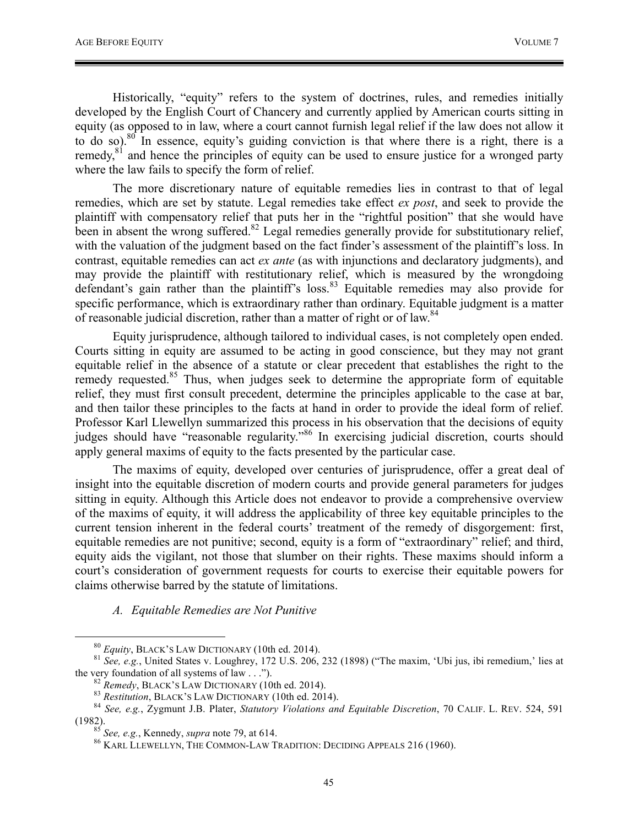Historically, "equity" refers to the system of doctrines, rules, and remedies initially developed by the English Court of Chancery and currently applied by American courts sitting in equity (as opposed to in law, where a court cannot furnish legal relief if the law does not allow it to do so). $80$  In essence, equity's guiding conviction is that where there is a right, there is a remedy, $81$  and hence the principles of equity can be used to ensure justice for a wronged party where the law fails to specify the form of relief.

The more discretionary nature of equitable remedies lies in contrast to that of legal remedies, which are set by statute. Legal remedies take effect *ex post*, and seek to provide the plaintiff with compensatory relief that puts her in the "rightful position" that she would have been in absent the wrong suffered.<sup>82</sup> Legal remedies generally provide for substitutionary relief, with the valuation of the judgment based on the fact finder's assessment of the plaintiff's loss. In contrast, equitable remedies can act *ex ante* (as with injunctions and declaratory judgments), and may provide the plaintiff with restitutionary relief, which is measured by the wrongdoing defendant's gain rather than the plaintiff's loss.<sup>83</sup> Equitable remedies may also provide for specific performance, which is extraordinary rather than ordinary. Equitable judgment is a matter of reasonable judicial discretion, rather than a matter of right or of law.<sup>84</sup>

Equity jurisprudence, although tailored to individual cases, is not completely open ended. Courts sitting in equity are assumed to be acting in good conscience, but they may not grant equitable relief in the absence of a statute or clear precedent that establishes the right to the remedy requested.<sup>85</sup> Thus, when judges seek to determine the appropriate form of equitable relief, they must first consult precedent, determine the principles applicable to the case at bar, and then tailor these principles to the facts at hand in order to provide the ideal form of relief. Professor Karl Llewellyn summarized this process in his observation that the decisions of equity judges should have "reasonable regularity."<sup>86</sup> In exercising judicial discretion, courts should apply general maxims of equity to the facts presented by the particular case.

The maxims of equity, developed over centuries of jurisprudence, offer a great deal of insight into the equitable discretion of modern courts and provide general parameters for judges sitting in equity. Although this Article does not endeavor to provide a comprehensive overview of the maxims of equity, it will address the applicability of three key equitable principles to the current tension inherent in the federal courts' treatment of the remedy of disgorgement: first, equitable remedies are not punitive; second, equity is a form of "extraordinary" relief; and third, equity aids the vigilant, not those that slumber on their rights. These maxims should inform a court's consideration of government requests for courts to exercise their equitable powers for claims otherwise barred by the statute of limitations.

## *A. Equitable Remedies are Not Punitive*

<sup>&</sup>lt;sup>80</sup> *Equity*, BLACK'S LAW DICTIONARY (10th ed. 2014).<br><sup>81</sup> *See, e.g.*, United States v. Loughrey, 172 U.S. 206, 232 (1898) ("The maxim, 'Ubi jus, ibi remedium,' lies at the very foundation of all systems of law ...").

<sup>&</sup>lt;sup>82</sup> Remedy, BLACK'S LAW DICTIONARY (10th ed. 2014).<br><sup>83</sup> Restitution, BLACK'S LAW DICTIONARY (10th ed. 2014).<br><sup>84</sup> See, e.g., Zygmunt J.B. Plater, Statutory Violations and Equitable Discretion, 70 CALIF. L. REV. 524, 591 (1982). <sup>85</sup> *See, e.g.*, Kennedy, *supra* note 79, at 614. <sup>86</sup> KARL LLEWELLYN, THE COMMON-LAW TRADITION: DECIDING APPEALS 216 (1960).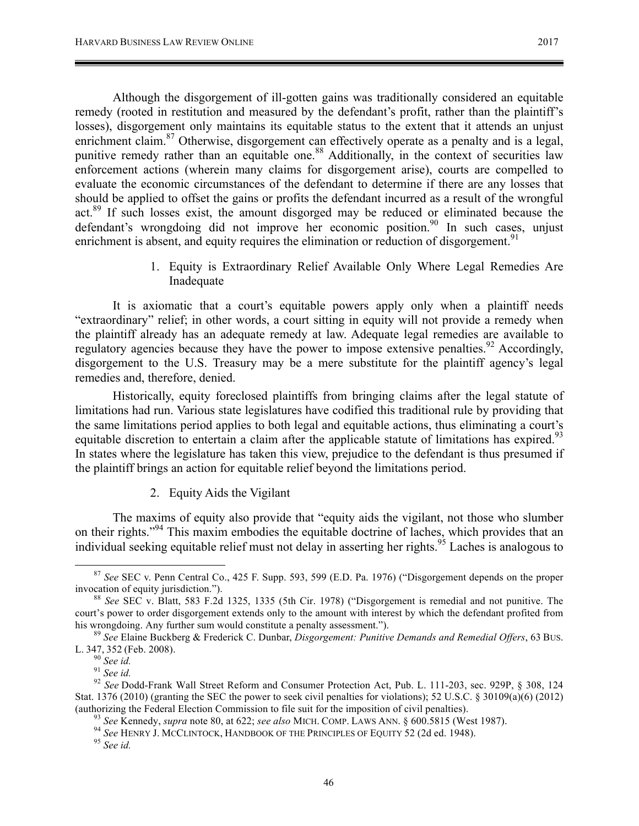Although the disgorgement of ill-gotten gains was traditionally considered an equitable remedy (rooted in restitution and measured by the defendant's profit, rather than the plaintiff's losses), disgorgement only maintains its equitable status to the extent that it attends an unjust enrichment claim.<sup>87</sup> Otherwise, disgorgement can effectively operate as a penalty and is a legal, punitive remedy rather than an equitable one.<sup>88</sup> Additionally, in the context of securities law enforcement actions (wherein many claims for disgorgement arise), courts are compelled to evaluate the economic circumstances of the defendant to determine if there are any losses that should be applied to offset the gains or profits the defendant incurred as a result of the wrongful act.<sup>89</sup> If such losses exist, the amount disgorged may be reduced or eliminated because the defendant's wrongdoing did not improve her economic position.<sup>90</sup> In such cases, unjust enrichment is absent, and equity requires the elimination or reduction of disgorgement.<sup>91</sup>

> 1. Equity is Extraordinary Relief Available Only Where Legal Remedies Are Inadequate

It is axiomatic that a court's equitable powers apply only when a plaintiff needs "extraordinary" relief; in other words, a court sitting in equity will not provide a remedy when the plaintiff already has an adequate remedy at law. Adequate legal remedies are available to regulatory agencies because they have the power to impose extensive penalties.<sup>92</sup> Accordingly, disgorgement to the U.S. Treasury may be a mere substitute for the plaintiff agency's legal remedies and, therefore, denied.

Historically, equity foreclosed plaintiffs from bringing claims after the legal statute of limitations had run. Various state legislatures have codified this traditional rule by providing that the same limitations period applies to both legal and equitable actions, thus eliminating a court's equitable discretion to entertain a claim after the applicable statute of limitations has expired.<sup>93</sup> In states where the legislature has taken this view, prejudice to the defendant is thus presumed if the plaintiff brings an action for equitable relief beyond the limitations period.

2. Equity Aids the Vigilant

The maxims of equity also provide that "equity aids the vigilant, not those who slumber on their rights."94 This maxim embodies the equitable doctrine of laches, which provides that an individual seeking equitable relief must not delay in asserting her rights.<sup>95</sup> Laches is analogous to

 <sup>87</sup> *See* SEC v. Penn Central Co., 425 F. Supp. 593, 599 (E.D. Pa. 1976) ("Disgorgement depends on the proper invocation of equity jurisdiction."). <sup>88</sup> *See* SEC v. Blatt, 583 F.2d 1325, 1335 (5th Cir. 1978) ("Disgorgement is remedial and not punitive. The

court's power to order disgorgement extends only to the amount with interest by which the defendant profited from his wrongdoing. Any further sum would constitute a penalty assessment."). <sup>89</sup> *See* Elaine Buckberg & Frederick C. Dunbar, *Disgorgement: Punitive Demands and Remedial Offers*, 63 BUS.

L. 347, 352 (Feb. 2008).<br><sup>90</sup> *See id.* 91 *See id.* 92 *See id.* 92 *See Dodd-Frank Wall Street Reform and Consumer Protection Act, Pub. L. 111-203, sec. 929P, § 308, 124* 

Stat. 1376 (2010) (granting the SEC the power to seek civil penalties for violations); 52 U.S.C. § 30109(a)(6) (2012)

<sup>(</sup>authorizing the Federal Election Commission to file suit for the imposition of civil penalties).<br><sup>93</sup> See Kennedy, *supra* note 80, at 622; *see also* MICH. COMP. LAWS ANN. § 600.5815 (West 1987).<br><sup>94</sup> See HENRY J. MCCLI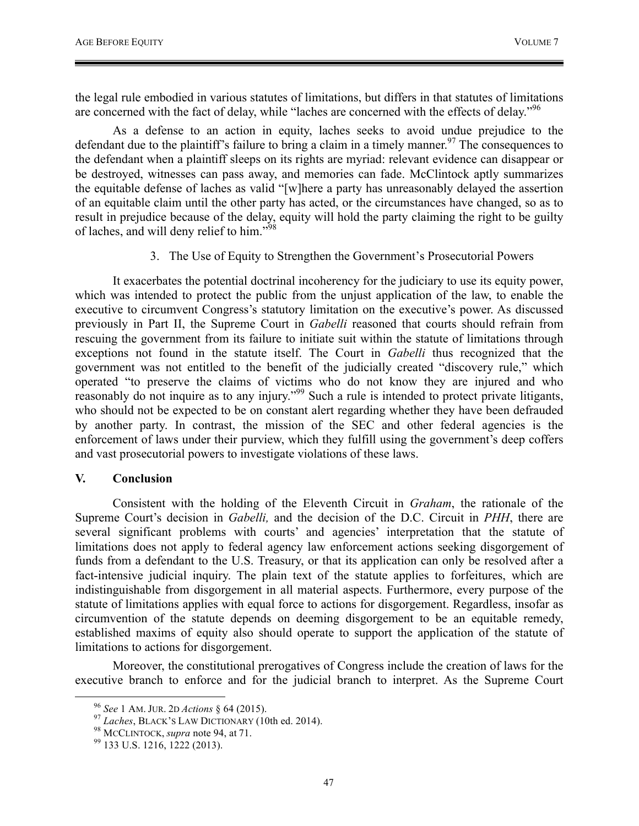the legal rule embodied in various statutes of limitations, but differs in that statutes of limitations are concerned with the fact of delay, while "laches are concerned with the effects of delay."<sup>96</sup>

As a defense to an action in equity, laches seeks to avoid undue prejudice to the defendant due to the plaintiff's failure to bring a claim in a timely manner.<sup>97</sup> The consequences to the defendant when a plaintiff sleeps on its rights are myriad: relevant evidence can disappear or be destroyed, witnesses can pass away, and memories can fade. McClintock aptly summarizes the equitable defense of laches as valid "[w]here a party has unreasonably delayed the assertion of an equitable claim until the other party has acted, or the circumstances have changed, so as to result in prejudice because of the delay, equity will hold the party claiming the right to be guilty of laches, and will deny relief to him."<sup>98</sup>

3. The Use of Equity to Strengthen the Government's Prosecutorial Powers

It exacerbates the potential doctrinal incoherency for the judiciary to use its equity power, which was intended to protect the public from the unjust application of the law, to enable the executive to circumvent Congress's statutory limitation on the executive's power. As discussed previously in Part II, the Supreme Court in *Gabelli* reasoned that courts should refrain from rescuing the government from its failure to initiate suit within the statute of limitations through exceptions not found in the statute itself. The Court in *Gabelli* thus recognized that the government was not entitled to the benefit of the judicially created "discovery rule," which operated "to preserve the claims of victims who do not know they are injured and who reasonably do not inquire as to any injury."<sup>99</sup> Such a rule is intended to protect private litigants, who should not be expected to be on constant alert regarding whether they have been defrauded by another party. In contrast, the mission of the SEC and other federal agencies is the enforcement of laws under their purview, which they fulfill using the government's deep coffers and vast prosecutorial powers to investigate violations of these laws.

#### **V. Conclusion**

Consistent with the holding of the Eleventh Circuit in *Graham*, the rationale of the Supreme Court's decision in *Gabelli,* and the decision of the D.C. Circuit in *PHH*, there are several significant problems with courts' and agencies' interpretation that the statute of limitations does not apply to federal agency law enforcement actions seeking disgorgement of funds from a defendant to the U.S. Treasury, or that its application can only be resolved after a fact-intensive judicial inquiry. The plain text of the statute applies to forfeitures, which are indistinguishable from disgorgement in all material aspects. Furthermore, every purpose of the statute of limitations applies with equal force to actions for disgorgement. Regardless, insofar as circumvention of the statute depends on deeming disgorgement to be an equitable remedy, established maxims of equity also should operate to support the application of the statute of limitations to actions for disgorgement.

Moreover, the constitutional prerogatives of Congress include the creation of laws for the executive branch to enforce and for the judicial branch to interpret. As the Supreme Court

<sup>&</sup>lt;sup>96</sup> *See* 1 AM. JUR. 2D *Actions* § 64 (2015).<br><sup>97</sup> *Laches*, BLACK's LAW DICTIONARY (10th ed. 2014).<br><sup>98</sup> MCCLINTOCK, *supra* note 94, at 71.<br><sup>99</sup> 133 U.S. 1216, 1222 (2013).